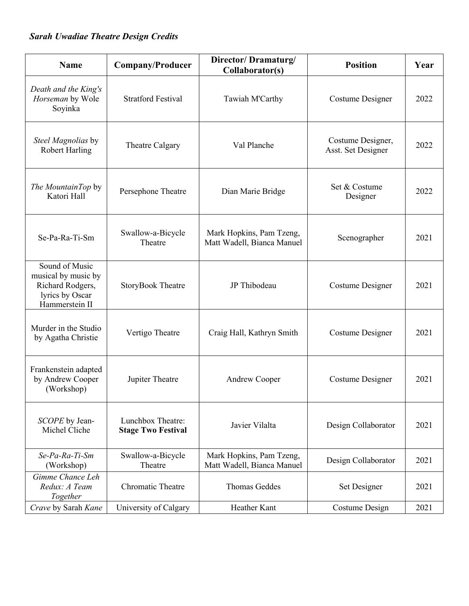## *Sarah Uwadiae Theatre Design Credits*

| <b>Name</b>                                                                                    | <b>Company/Producer</b>                        | Director/Dramaturg/<br>Collaborator(s)                 | <b>Position</b>                         | Year |
|------------------------------------------------------------------------------------------------|------------------------------------------------|--------------------------------------------------------|-----------------------------------------|------|
| Death and the King's<br>Horseman by Wole<br>Soyinka                                            | <b>Stratford Festival</b>                      | Tawiah M'Carthy                                        | Costume Designer                        | 2022 |
| Steel Magnolias by<br><b>Robert Harling</b>                                                    | Theatre Calgary                                | Val Planche                                            | Costume Designer,<br>Asst. Set Designer | 2022 |
| The MountainTop by<br>Katori Hall                                                              | Persephone Theatre                             | Dian Marie Bridge                                      | Set & Costume<br>Designer               | 2022 |
| Se-Pa-Ra-Ti-Sm                                                                                 | Swallow-a-Bicycle<br>Theatre                   | Mark Hopkins, Pam Tzeng,<br>Matt Wadell, Bianca Manuel | Scenographer                            | 2021 |
| Sound of Music<br>musical by music by<br>Richard Rodgers,<br>lyrics by Oscar<br>Hammerstein II | <b>StoryBook Theatre</b>                       | JP Thibodeau                                           | Costume Designer                        | 2021 |
| Murder in the Studio<br>by Agatha Christie                                                     | Vertigo Theatre                                | Craig Hall, Kathryn Smith                              | <b>Costume Designer</b>                 | 2021 |
| Frankenstein adapted<br>by Andrew Cooper<br>(Workshop)                                         | Jupiter Theatre                                | Andrew Cooper                                          | Costume Designer                        | 2021 |
| SCOPE by Jean-<br>Michel Cliche                                                                | Lunchbox Theatre:<br><b>Stage Two Festival</b> | Javier Vilalta                                         | Design Collaborator                     | 2021 |
| Se-Pa-Ra-Ti-Sm<br>(Workshop)                                                                   | Swallow-a-Bicycle<br>Theatre                   | Mark Hopkins, Pam Tzeng,<br>Matt Wadell, Bianca Manuel | Design Collaborator                     | 2021 |
| Gimme Chance Leh<br>Redux: A Team<br>Together                                                  | <b>Chromatic Theatre</b>                       | Thomas Geddes                                          | Set Designer                            | 2021 |
| Crave by Sarah Kane                                                                            | University of Calgary                          | Heather Kant                                           | Costume Design                          | 2021 |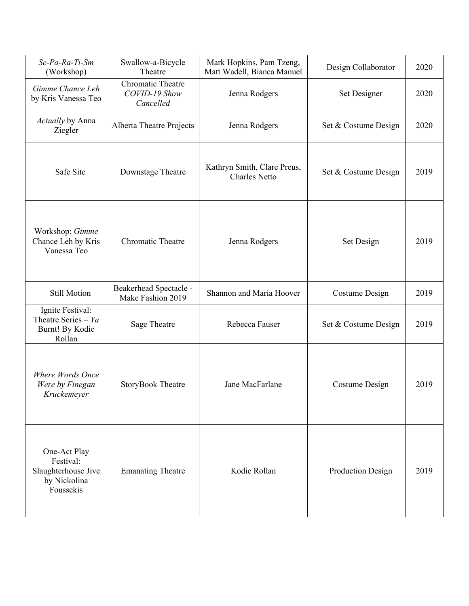| Se-Pa-Ra-Ti-Sm<br>(Workshop)                                                  | Swallow-a-Bicycle<br>Theatre                    | Mark Hopkins, Pam Tzeng,<br>Matt Wadell, Bianca Manuel | Design Collaborator  | 2020 |
|-------------------------------------------------------------------------------|-------------------------------------------------|--------------------------------------------------------|----------------------|------|
| Gimme Chance Leh<br>by Kris Vanessa Teo                                       | Chromatic Theatre<br>COVID-19 Show<br>Cancelled | Jenna Rodgers                                          | Set Designer         | 2020 |
| Actually by Anna<br>Ziegler                                                   | Alberta Theatre Projects                        | Jenna Rodgers                                          | Set & Costume Design | 2020 |
| Safe Site                                                                     | Downstage Theatre                               | Kathryn Smith, Clare Preus,<br><b>Charles Netto</b>    | Set & Costume Design | 2019 |
| Workshop: Gimme<br>Chance Leh by Kris<br>Vanessa Teo                          | Chromatic Theatre                               | Jenna Rodgers                                          | Set Design           | 2019 |
| <b>Still Motion</b>                                                           | Beakerhead Spectacle -<br>Make Fashion 2019     | Shannon and Maria Hoover                               | Costume Design       | 2019 |
| Ignite Festival:<br>Theatre Series – $Ya$<br>Burnt! By Kodie<br>Rollan        | Sage Theatre                                    | Rebecca Fauser                                         | Set & Costume Design | 2019 |
| Where Words Once<br>Were by Finegan<br>Kruckemeyer                            | <b>StoryBook Theatre</b>                        | Jane MacFarlane                                        | Costume Design       | 2019 |
| One-Act Play<br>Festival:<br>Slaughterhouse Jive<br>by Nickolina<br>Foussekis | <b>Emanating Theatre</b>                        | Kodie Rollan                                           | Production Design    | 2019 |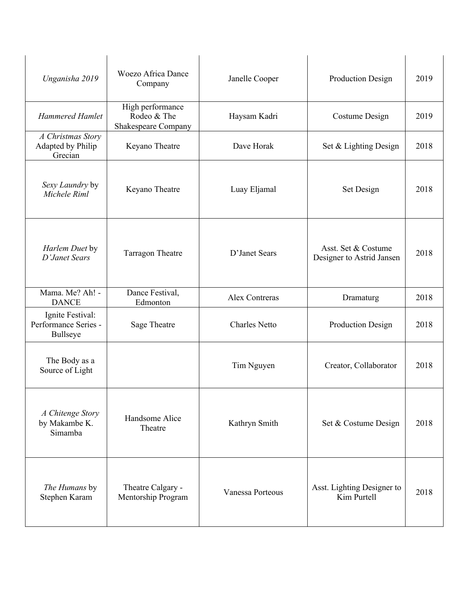| Unganisha 2019                                       | <b>Woezo Africa Dance</b><br>Company                   | Janelle Cooper       | Production Design                                | 2019 |
|------------------------------------------------------|--------------------------------------------------------|----------------------|--------------------------------------------------|------|
| <b>Hammered Hamlet</b>                               | High performance<br>Rodeo & The<br>Shakespeare Company | Haysam Kadri         | Costume Design                                   | 2019 |
| A Christmas Story<br>Adapted by Philip<br>Grecian    | Keyano Theatre                                         | Dave Horak           | Set & Lighting Design                            | 2018 |
| Sexy Laundry by<br>Michele Riml                      | Keyano Theatre                                         | Luay Eljamal         | Set Design                                       | 2018 |
| Harlem Duet by<br>D'Janet Sears                      | <b>Tarragon Theatre</b>                                | D'Janet Sears        | Asst. Set & Costume<br>Designer to Astrid Jansen | 2018 |
| Mama. Me? Ah! -<br><b>DANCE</b>                      | Dance Festival,<br>Edmonton                            | Alex Contreras       | Dramaturg                                        | 2018 |
| Ignite Festival:<br>Performance Series -<br>Bullseye | Sage Theatre                                           | <b>Charles Netto</b> | Production Design                                | 2018 |
| The Body as a<br>Source of Light                     |                                                        | Tim Nguyen           | Creator, Collaborator                            | 2018 |
| A Chitenge Story<br>by Makambe K.<br>Simamba         | Handsome Alice<br>Theatre                              | Kathryn Smith        | Set & Costume Design                             | 2018 |
| The Humans by<br>Stephen Karam                       | Theatre Calgary -<br>Mentorship Program                | Vanessa Porteous     | Asst. Lighting Designer to<br>Kim Purtell        | 2018 |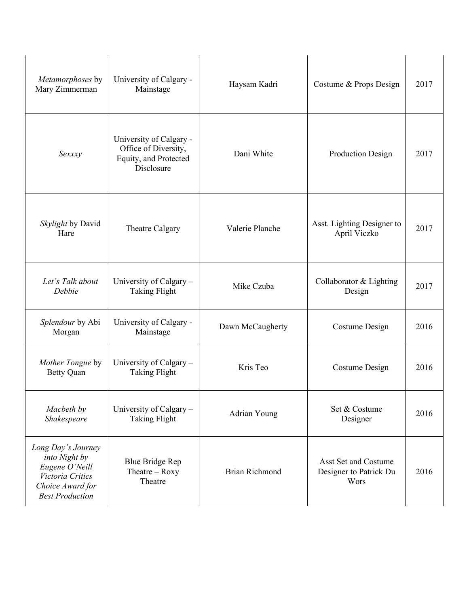| Metamorphoses by<br>Mary Zimmerman                                                                                      | University of Calgary -<br>Mainstage                                                   | Haysam Kadri          | Costume & Props Design                                 | 2017 |
|-------------------------------------------------------------------------------------------------------------------------|----------------------------------------------------------------------------------------|-----------------------|--------------------------------------------------------|------|
| Sexxxy                                                                                                                  | University of Calgary -<br>Office of Diversity,<br>Equity, and Protected<br>Disclosure | Dani White            | Production Design                                      | 2017 |
| Skylight by David<br>Hare                                                                                               | Theatre Calgary                                                                        | Valerie Planche       | Asst. Lighting Designer to<br>April Viczko             | 2017 |
| Let's Talk about<br>Debbie                                                                                              | University of Calgary -<br><b>Taking Flight</b>                                        | Mike Czuba            | Collaborator & Lighting<br>Design                      | 2017 |
| Splendour by Abi<br>Morgan                                                                                              | University of Calgary -<br>Mainstage                                                   | Dawn McCaugherty      | Costume Design                                         | 2016 |
| Mother Tongue by<br><b>Betty Quan</b>                                                                                   | University of Calgary -<br><b>Taking Flight</b>                                        | Kris Teo              | <b>Costume Design</b>                                  | 2016 |
| Macbeth by<br>Shakespeare                                                                                               | University of Calgary -<br><b>Taking Flight</b>                                        | Adrian Young          | Set & Costume<br>Designer                              | 2016 |
| Long Day's Journey<br>into Night by<br>Eugene O'Neill<br>Victoria Critics<br>Choice Award for<br><b>Best Production</b> | <b>Blue Bridge Rep</b><br>Theatre $-$ Roxy<br>Theatre                                  | <b>Brian Richmond</b> | Asst Set and Costume<br>Designer to Patrick Du<br>Wors | 2016 |